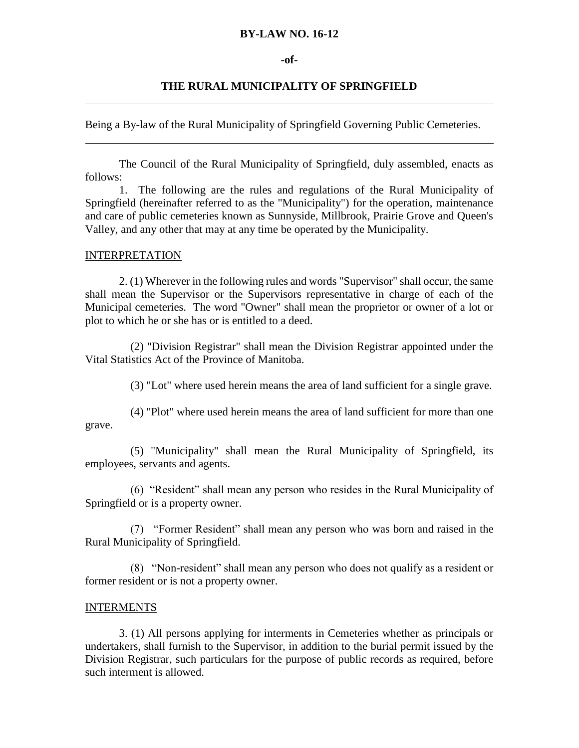#### **BY-LAW NO. 16-12**

#### **-of-**

#### **THE RURAL MUNICIPALITY OF SPRINGFIELD**

Being a By-law of the Rural Municipality of Springfield Governing Public Cemeteries.

The Council of the Rural Municipality of Springfield, duly assembled, enacts as follows:

1. The following are the rules and regulations of the Rural Municipality of Springfield (hereinafter referred to as the "Municipality") for the operation, maintenance and care of public cemeteries known as Sunnyside, Millbrook, Prairie Grove and Queen's Valley, and any other that may at any time be operated by the Municipality.

#### INTERPRETATION

2. (1) Wherever in the following rules and words "Supervisor" shall occur, the same shall mean the Supervisor or the Supervisors representative in charge of each of the Municipal cemeteries. The word "Owner" shall mean the proprietor or owner of a lot or plot to which he or she has or is entitled to a deed.

 (2) "Division Registrar" shall mean the Division Registrar appointed under the Vital Statistics Act of the Province of Manitoba.

(3) "Lot" where used herein means the area of land sufficient for a single grave.

 (4) "Plot" where used herein means the area of land sufficient for more than one grave.

 (5) "Municipality" shall mean the Rural Municipality of Springfield, its employees, servants and agents.

 (6) "Resident" shall mean any person who resides in the Rural Municipality of Springfield or is a property owner.

 (7) "Former Resident" shall mean any person who was born and raised in the Rural Municipality of Springfield.

 (8) "Non-resident" shall mean any person who does not qualify as a resident or former resident or is not a property owner.

#### INTERMENTS

3. (1) All persons applying for interments in Cemeteries whether as principals or undertakers, shall furnish to the Supervisor, in addition to the burial permit issued by the Division Registrar, such particulars for the purpose of public records as required, before such interment is allowed.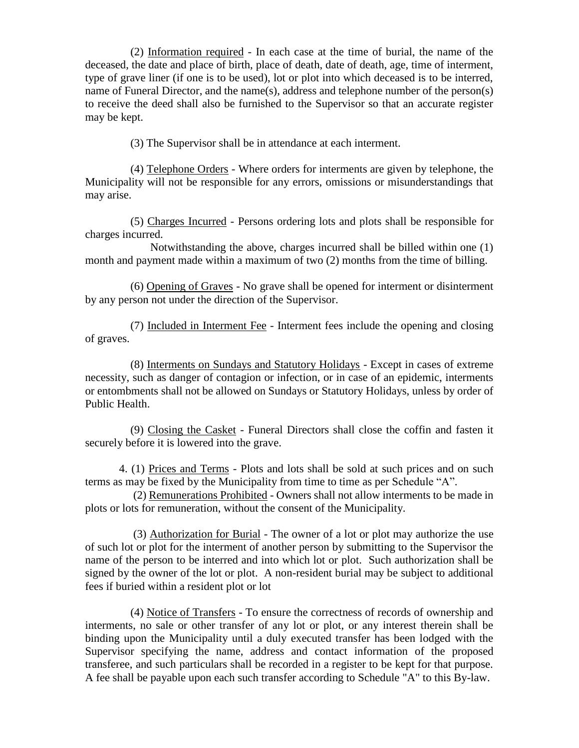(2) Information required - In each case at the time of burial, the name of the deceased, the date and place of birth, place of death, date of death, age, time of interment, type of grave liner (if one is to be used), lot or plot into which deceased is to be interred, name of Funeral Director, and the name(s), address and telephone number of the person(s) to receive the deed shall also be furnished to the Supervisor so that an accurate register may be kept.

(3) The Supervisor shall be in attendance at each interment.

 (4) Telephone Orders - Where orders for interments are given by telephone, the Municipality will not be responsible for any errors, omissions or misunderstandings that may arise.

 (5) Charges Incurred - Persons ordering lots and plots shall be responsible for charges incurred.

 Notwithstanding the above, charges incurred shall be billed within one (1) month and payment made within a maximum of two (2) months from the time of billing.

 (6) Opening of Graves - No grave shall be opened for interment or disinterment by any person not under the direction of the Supervisor.

 (7) Included in Interment Fee - Interment fees include the opening and closing of graves.

 (8) Interments on Sundays and Statutory Holidays - Except in cases of extreme necessity, such as danger of contagion or infection, or in case of an epidemic, interments or entombments shall not be allowed on Sundays or Statutory Holidays, unless by order of Public Health.

 (9) Closing the Casket - Funeral Directors shall close the coffin and fasten it securely before it is lowered into the grave.

4. (1) Prices and Terms - Plots and lots shall be sold at such prices and on such terms as may be fixed by the Municipality from time to time as per Schedule "A".

 (2) Remunerations Prohibited - Owners shall not allow interments to be made in plots or lots for remuneration, without the consent of the Municipality.

 (3) Authorization for Burial - The owner of a lot or plot may authorize the use of such lot or plot for the interment of another person by submitting to the Supervisor the name of the person to be interred and into which lot or plot. Such authorization shall be signed by the owner of the lot or plot. A non-resident burial may be subject to additional fees if buried within a resident plot or lot

 (4) Notice of Transfers - To ensure the correctness of records of ownership and interments, no sale or other transfer of any lot or plot, or any interest therein shall be binding upon the Municipality until a duly executed transfer has been lodged with the Supervisor specifying the name, address and contact information of the proposed transferee, and such particulars shall be recorded in a register to be kept for that purpose. A fee shall be payable upon each such transfer according to Schedule "A" to this By-law.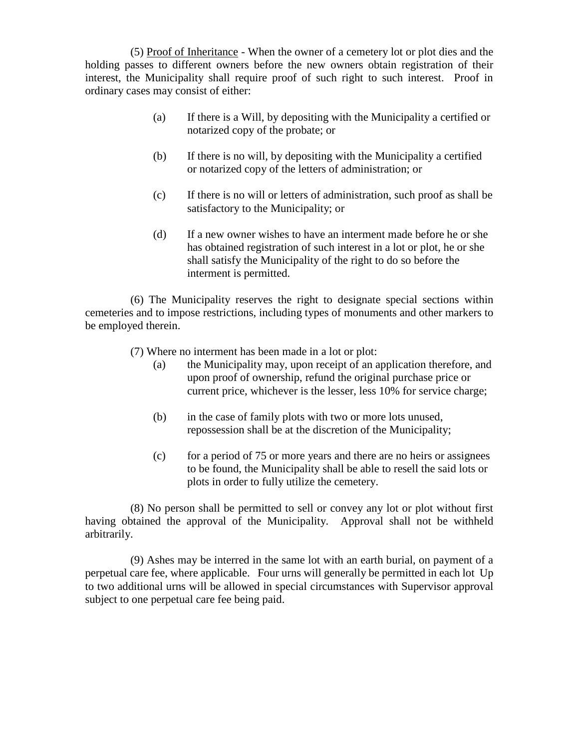(5) Proof of Inheritance - When the owner of a cemetery lot or plot dies and the holding passes to different owners before the new owners obtain registration of their interest, the Municipality shall require proof of such right to such interest. Proof in ordinary cases may consist of either:

- (a) If there is a Will, by depositing with the Municipality a certified or notarized copy of the probate; or
- (b) If there is no will, by depositing with the Municipality a certified or notarized copy of the letters of administration; or
- (c) If there is no will or letters of administration, such proof as shall be satisfactory to the Municipality; or
- (d) If a new owner wishes to have an interment made before he or she has obtained registration of such interest in a lot or plot, he or she shall satisfy the Municipality of the right to do so before the interment is permitted.

 (6) The Municipality reserves the right to designate special sections within cemeteries and to impose restrictions, including types of monuments and other markers to be employed therein.

(7) Where no interment has been made in a lot or plot:

- (a) the Municipality may, upon receipt of an application therefore, and upon proof of ownership, refund the original purchase price or current price, whichever is the lesser, less 10% for service charge;
- (b) in the case of family plots with two or more lots unused, repossession shall be at the discretion of the Municipality;
- (c) for a period of 75 or more years and there are no heirs or assignees to be found, the Municipality shall be able to resell the said lots or plots in order to fully utilize the cemetery.

 (8) No person shall be permitted to sell or convey any lot or plot without first having obtained the approval of the Municipality. Approval shall not be withheld arbitrarily.

 (9) Ashes may be interred in the same lot with an earth burial, on payment of a perpetual care fee, where applicable. Four urns will generally be permitted in each lot Up to two additional urns will be allowed in special circumstances with Supervisor approval subject to one perpetual care fee being paid.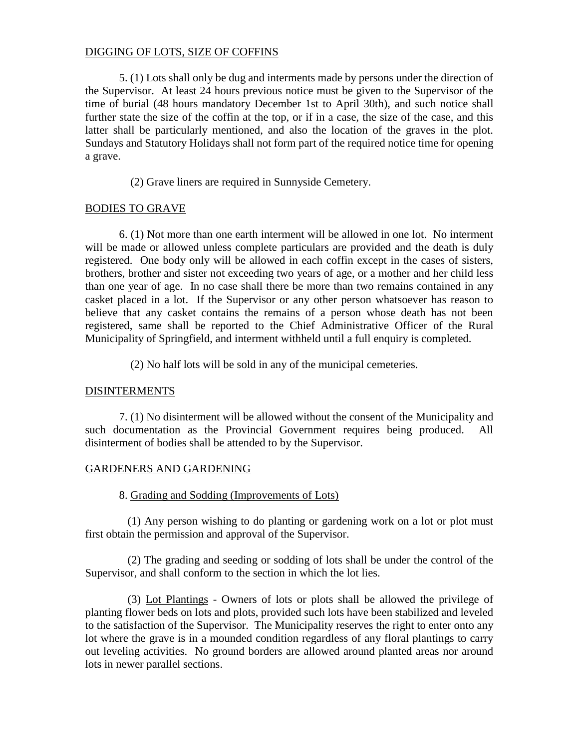## DIGGING OF LOTS, SIZE OF COFFINS

5. (1) Lots shall only be dug and interments made by persons under the direction of the Supervisor. At least 24 hours previous notice must be given to the Supervisor of the time of burial (48 hours mandatory December 1st to April 30th), and such notice shall further state the size of the coffin at the top, or if in a case, the size of the case, and this latter shall be particularly mentioned, and also the location of the graves in the plot. Sundays and Statutory Holidays shall not form part of the required notice time for opening a grave.

(2) Grave liners are required in Sunnyside Cemetery.

# BODIES TO GRAVE

6. (1) Not more than one earth interment will be allowed in one lot. No interment will be made or allowed unless complete particulars are provided and the death is duly registered. One body only will be allowed in each coffin except in the cases of sisters, brothers, brother and sister not exceeding two years of age, or a mother and her child less than one year of age. In no case shall there be more than two remains contained in any casket placed in a lot. If the Supervisor or any other person whatsoever has reason to believe that any casket contains the remains of a person whose death has not been registered, same shall be reported to the Chief Administrative Officer of the Rural Municipality of Springfield, and interment withheld until a full enquiry is completed.

(2) No half lots will be sold in any of the municipal cemeteries.

## DISINTERMENTS

7. (1) No disinterment will be allowed without the consent of the Municipality and such documentation as the Provincial Government requires being produced. All disinterment of bodies shall be attended to by the Supervisor.

## GARDENERS AND GARDENING

## 8. Grading and Sodding (Improvements of Lots)

 (1) Any person wishing to do planting or gardening work on a lot or plot must first obtain the permission and approval of the Supervisor.

 (2) The grading and seeding or sodding of lots shall be under the control of the Supervisor, and shall conform to the section in which the lot lies.

 (3) Lot Plantings - Owners of lots or plots shall be allowed the privilege of planting flower beds on lots and plots, provided such lots have been stabilized and leveled to the satisfaction of the Supervisor. The Municipality reserves the right to enter onto any lot where the grave is in a mounded condition regardless of any floral plantings to carry out leveling activities. No ground borders are allowed around planted areas nor around lots in newer parallel sections.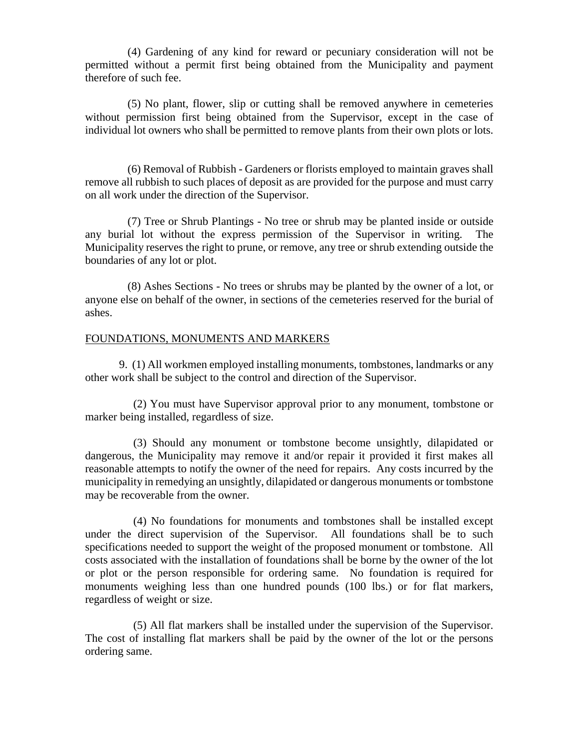(4) Gardening of any kind for reward or pecuniary consideration will not be permitted without a permit first being obtained from the Municipality and payment therefore of such fee.

 (5) No plant, flower, slip or cutting shall be removed anywhere in cemeteries without permission first being obtained from the Supervisor, except in the case of individual lot owners who shall be permitted to remove plants from their own plots or lots.

 (6) Removal of Rubbish - Gardeners or florists employed to maintain graves shall remove all rubbish to such places of deposit as are provided for the purpose and must carry on all work under the direction of the Supervisor.

 (7) Tree or Shrub Plantings - No tree or shrub may be planted inside or outside any burial lot without the express permission of the Supervisor in writing. The Municipality reserves the right to prune, or remove, any tree or shrub extending outside the boundaries of any lot or plot.

 (8) Ashes Sections - No trees or shrubs may be planted by the owner of a lot, or anyone else on behalf of the owner, in sections of the cemeteries reserved for the burial of ashes.

### FOUNDATIONS, MONUMENTS AND MARKERS

9. (1) All workmen employed installing monuments, tombstones, landmarks or any other work shall be subject to the control and direction of the Supervisor.

 (2) You must have Supervisor approval prior to any monument, tombstone or marker being installed, regardless of size.

 (3) Should any monument or tombstone become unsightly, dilapidated or dangerous, the Municipality may remove it and/or repair it provided it first makes all reasonable attempts to notify the owner of the need for repairs. Any costs incurred by the municipality in remedying an unsightly, dilapidated or dangerous monuments or tombstone may be recoverable from the owner.

 (4) No foundations for monuments and tombstones shall be installed except under the direct supervision of the Supervisor. All foundations shall be to such specifications needed to support the weight of the proposed monument or tombstone. All costs associated with the installation of foundations shall be borne by the owner of the lot or plot or the person responsible for ordering same. No foundation is required for monuments weighing less than one hundred pounds (100 lbs.) or for flat markers, regardless of weight or size.

 (5) All flat markers shall be installed under the supervision of the Supervisor. The cost of installing flat markers shall be paid by the owner of the lot or the persons ordering same.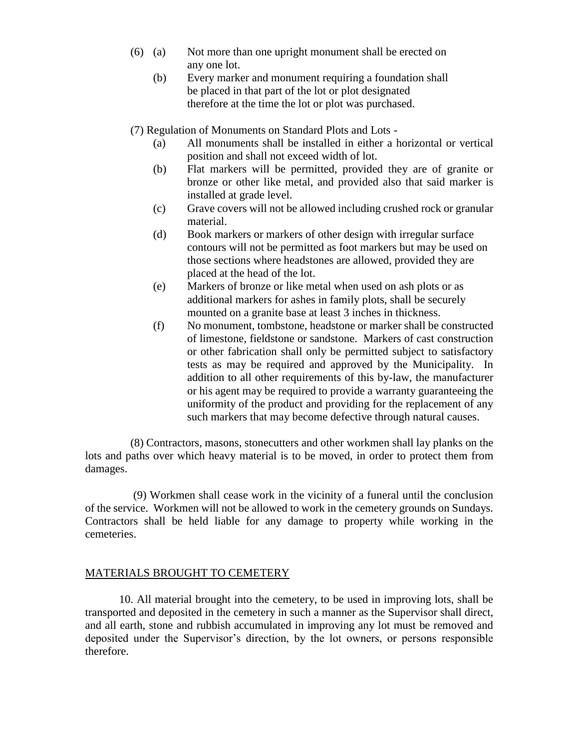- (6) (a) Not more than one upright monument shall be erected on any one lot.
	- (b) Every marker and monument requiring a foundation shall be placed in that part of the lot or plot designated therefore at the time the lot or plot was purchased.

(7) Regulation of Monuments on Standard Plots and Lots -

- (a) All monuments shall be installed in either a horizontal or vertical position and shall not exceed width of lot.
- (b) Flat markers will be permitted, provided they are of granite or bronze or other like metal, and provided also that said marker is installed at grade level.
- (c) Grave covers will not be allowed including crushed rock or granular material.
- (d) Book markers or markers of other design with irregular surface contours will not be permitted as foot markers but may be used on those sections where headstones are allowed, provided they are placed at the head of the lot.
- (e) Markers of bronze or like metal when used on ash plots or as additional markers for ashes in family plots, shall be securely mounted on a granite base at least 3 inches in thickness.
- (f) No monument, tombstone, headstone or marker shall be constructed of limestone, fieldstone or sandstone. Markers of cast construction or other fabrication shall only be permitted subject to satisfactory tests as may be required and approved by the Municipality. In addition to all other requirements of this by-law, the manufacturer or his agent may be required to provide a warranty guaranteeing the uniformity of the product and providing for the replacement of any such markers that may become defective through natural causes.

 (8) Contractors, masons, stonecutters and other workmen shall lay planks on the lots and paths over which heavy material is to be moved, in order to protect them from damages.

 (9) Workmen shall cease work in the vicinity of a funeral until the conclusion of the service. Workmen will not be allowed to work in the cemetery grounds on Sundays. Contractors shall be held liable for any damage to property while working in the cemeteries.

#### MATERIALS BROUGHT TO CEMETERY

 10. All material brought into the cemetery, to be used in improving lots, shall be transported and deposited in the cemetery in such a manner as the Supervisor shall direct, and all earth, stone and rubbish accumulated in improving any lot must be removed and deposited under the Supervisor's direction, by the lot owners, or persons responsible therefore.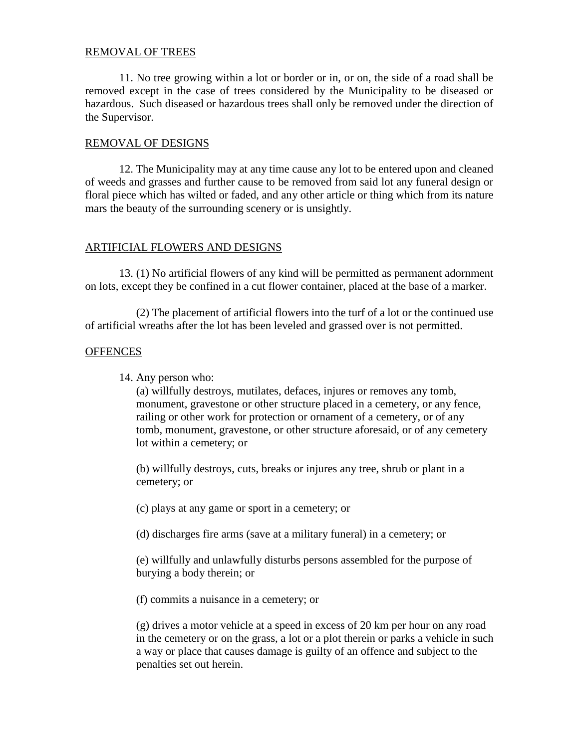#### REMOVAL OF TREES

 11. No tree growing within a lot or border or in, or on, the side of a road shall be removed except in the case of trees considered by the Municipality to be diseased or hazardous. Such diseased or hazardous trees shall only be removed under the direction of the Supervisor.

#### REMOVAL OF DESIGNS

 12. The Municipality may at any time cause any lot to be entered upon and cleaned of weeds and grasses and further cause to be removed from said lot any funeral design or floral piece which has wilted or faded, and any other article or thing which from its nature mars the beauty of the surrounding scenery or is unsightly.

## ARTIFICIAL FLOWERS AND DESIGNS

 13. (1) No artificial flowers of any kind will be permitted as permanent adornment on lots, except they be confined in a cut flower container, placed at the base of a marker.

 (2) The placement of artificial flowers into the turf of a lot or the continued use of artificial wreaths after the lot has been leveled and grassed over is not permitted.

#### **OFFENCES**

14. Any person who:

 (a) willfully destroys, mutilates, defaces, injures or removes any tomb, monument, gravestone or other structure placed in a cemetery, or any fence, railing or other work for protection or ornament of a cemetery, or of any tomb, monument, gravestone, or other structure aforesaid, or of any cemetery lot within a cemetery; or

 (b) willfully destroys, cuts, breaks or injures any tree, shrub or plant in a cemetery; or

(c) plays at any game or sport in a cemetery; or

(d) discharges fire arms (save at a military funeral) in a cemetery; or

 (e) willfully and unlawfully disturbs persons assembled for the purpose of burying a body therein; or

(f) commits a nuisance in a cemetery; or

 (g) drives a motor vehicle at a speed in excess of 20 km per hour on any road in the cemetery or on the grass, a lot or a plot therein or parks a vehicle in such a way or place that causes damage is guilty of an offence and subject to the penalties set out herein.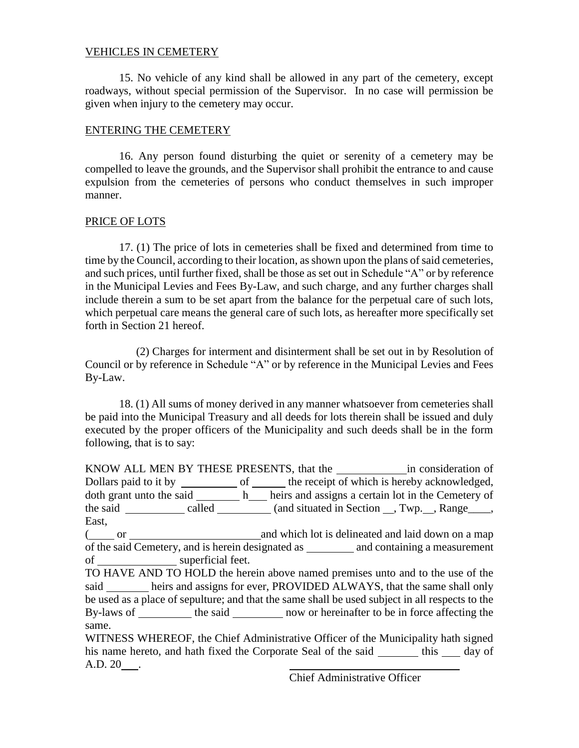## VEHICLES IN CEMETERY

 15. No vehicle of any kind shall be allowed in any part of the cemetery, except roadways, without special permission of the Supervisor. In no case will permission be given when injury to the cemetery may occur.

# ENTERING THE CEMETERY

 16. Any person found disturbing the quiet or serenity of a cemetery may be compelled to leave the grounds, and the Supervisor shall prohibit the entrance to and cause expulsion from the cemeteries of persons who conduct themselves in such improper manner.

# PRICE OF LOTS

 17. (1) The price of lots in cemeteries shall be fixed and determined from time to time by the Council, according to their location, as shown upon the plans of said cemeteries, and such prices, until further fixed, shall be those as set out in Schedule "A" or by reference in the Municipal Levies and Fees By-Law, and such charge, and any further charges shall include therein a sum to be set apart from the balance for the perpetual care of such lots, which perpetual care means the general care of such lots, as hereafter more specifically set forth in Section 21 hereof.

 (2) Charges for interment and disinterment shall be set out in by Resolution of Council or by reference in Schedule "A" or by reference in the Municipal Levies and Fees By-Law.

 18. (1) All sums of money derived in any manner whatsoever from cemeteries shall be paid into the Municipal Treasury and all deeds for lots therein shall be issued and duly executed by the proper officers of the Municipality and such deeds shall be in the form following, that is to say:

KNOW ALL MEN BY THESE PRESENTS, that the in consideration of Dollars paid to it by \_\_\_\_\_\_\_\_\_\_\_\_\_ of \_\_\_\_\_\_\_\_ the receipt of which is hereby acknowledged, doth grant unto the said  $\_\_\_\_\$ heirs and assigns a certain lot in the Cemetery of the said  $\_\_\_\_\_$  called  $\_\_\_\_\_$  (and situated in Section  $\_\_\_\_$ , Twp.  $\_\_\_\_\$  Range $\_\_\_\_\$ East, ( $\qquad \qquad \qquad \text{or} \qquad \qquad \qquad \qquad \text{and which lot is delineated and laid down on a map}$ of the said Cemetery, and is herein designated as and containing a measurement of superficial feet. TO HAVE AND TO HOLD the herein above named premises unto and to the use of the said heirs and assigns for ever, PROVIDED ALWAYS, that the same shall only be used as a place of sepulture; and that the same shall be used subject in all respects to the By-laws of \_\_\_\_\_\_\_\_\_ the said \_\_\_\_\_\_\_\_ now or hereinafter to be in force affecting the same.

WITNESS WHEREOF, the Chief Administrative Officer of the Municipality hath signed his name hereto, and hath fixed the Corporate Seal of the said \_\_\_\_\_\_\_ this \_\_\_\_ day of A.D. 20 .

Chief Administrative Officer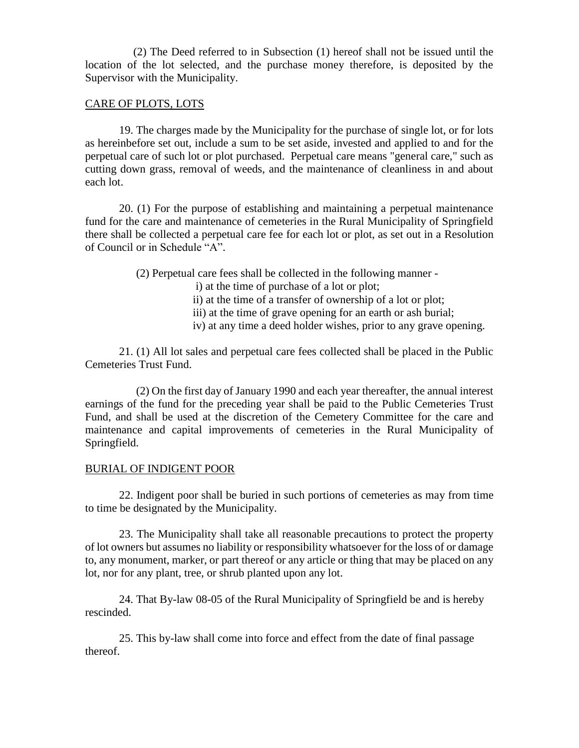(2) The Deed referred to in Subsection (1) hereof shall not be issued until the location of the lot selected, and the purchase money therefore, is deposited by the Supervisor with the Municipality.

#### CARE OF PLOTS, LOTS

 19. The charges made by the Municipality for the purchase of single lot, or for lots as hereinbefore set out, include a sum to be set aside, invested and applied to and for the perpetual care of such lot or plot purchased. Perpetual care means "general care," such as cutting down grass, removal of weeds, and the maintenance of cleanliness in and about each lot.

 20. (1) For the purpose of establishing and maintaining a perpetual maintenance fund for the care and maintenance of cemeteries in the Rural Municipality of Springfield there shall be collected a perpetual care fee for each lot or plot, as set out in a Resolution of Council or in Schedule "A".

(2) Perpetual care fees shall be collected in the following manner -

i) at the time of purchase of a lot or plot;

- ii) at the time of a transfer of ownership of a lot or plot;
- iii) at the time of grave opening for an earth or ash burial;
- iv) at any time a deed holder wishes, prior to any grave opening.

 21. (1) All lot sales and perpetual care fees collected shall be placed in the Public Cemeteries Trust Fund.

 (2) On the first day of January 1990 and each year thereafter, the annual interest earnings of the fund for the preceding year shall be paid to the Public Cemeteries Trust Fund, and shall be used at the discretion of the Cemetery Committee for the care and maintenance and capital improvements of cemeteries in the Rural Municipality of Springfield.

## BURIAL OF INDIGENT POOR

 22. Indigent poor shall be buried in such portions of cemeteries as may from time to time be designated by the Municipality.

 23. The Municipality shall take all reasonable precautions to protect the property of lot owners but assumes no liability or responsibility whatsoever for the loss of or damage to, any monument, marker, or part thereof or any article or thing that may be placed on any lot, nor for any plant, tree, or shrub planted upon any lot.

 24. That By-law 08-05 of the Rural Municipality of Springfield be and is hereby rescinded.

 25. This by-law shall come into force and effect from the date of final passage thereof.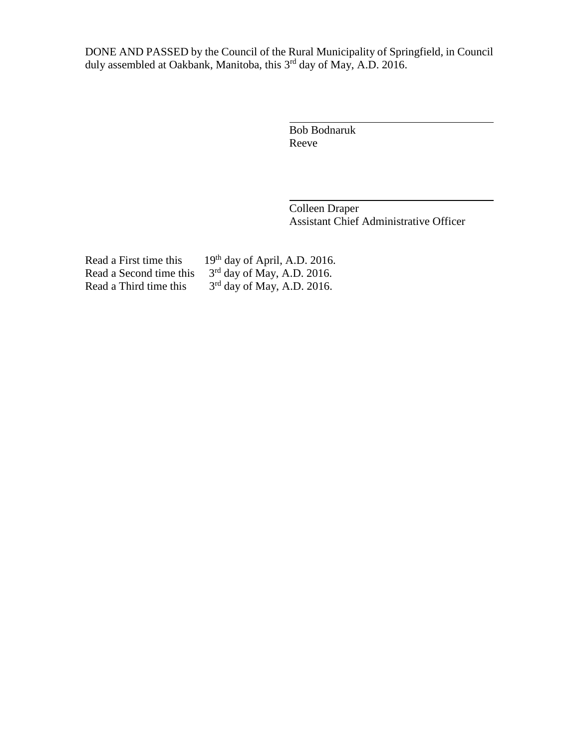DONE AND PASSED by the Council of the Rural Municipality of Springfield, in Council duly assembled at Oakbank, Manitoba, this 3<sup>rd</sup> day of May, A.D. 2016.

> Bob Bodnaruk Reeve

Colleen Draper Assistant Chief Administrative Officer

Read a Second time this Read a Third time this

Read a First time this  $19<sup>th</sup>$  day of April, A.D. 2016.  $<sup>rd</sup>$  day of May, A.D. 2016.</sup>  $<sup>rd</sup>$  day of May, A.D. 2016.</sup>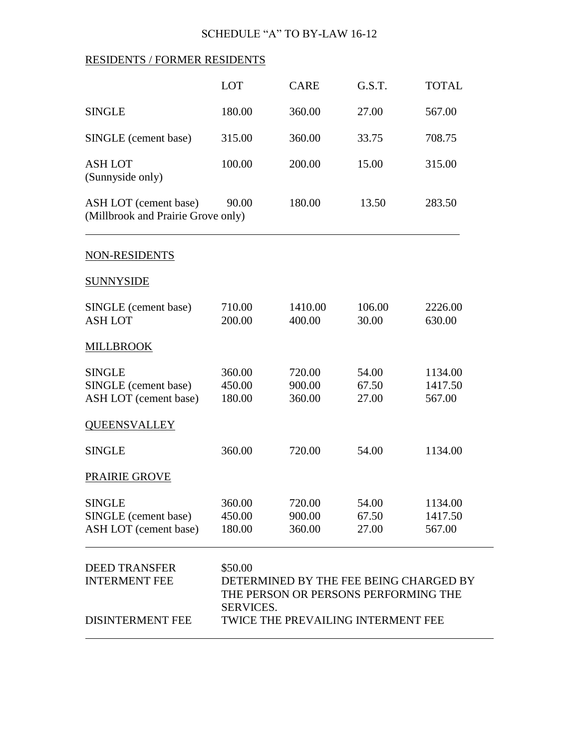# SCHEDULE "A" TO BY-LAW 16-12

# RESIDENTS / FORMER RESIDENTS

|                                                                         | LOT                                                                                                                                          | <b>CARE</b>                | G.S.T.                  | <b>TOTAL</b>                 |
|-------------------------------------------------------------------------|----------------------------------------------------------------------------------------------------------------------------------------------|----------------------------|-------------------------|------------------------------|
| <b>SINGLE</b>                                                           | 180.00                                                                                                                                       | 360.00                     | 27.00                   | 567.00                       |
| SINGLE (cement base)                                                    | 315.00                                                                                                                                       | 360.00                     | 33.75                   | 708.75                       |
| <b>ASH LOT</b><br>(Sunnyside only)                                      | 100.00                                                                                                                                       | 200.00                     | 15.00                   | 315.00                       |
| ASH LOT (cement base)<br>(Millbrook and Prairie Grove only)             | 90.00                                                                                                                                        | 180.00                     | 13.50                   | 283.50                       |
| <b>NON-RESIDENTS</b>                                                    |                                                                                                                                              |                            |                         |                              |
| <b>SUNNYSIDE</b>                                                        |                                                                                                                                              |                            |                         |                              |
| SINGLE (cement base)<br><b>ASH LOT</b>                                  | 710.00<br>200.00                                                                                                                             | 1410.00<br>400.00          | 106.00<br>30.00         | 2226.00<br>630.00            |
| <b>MILLBROOK</b>                                                        |                                                                                                                                              |                            |                         |                              |
| <b>SINGLE</b><br>SINGLE (cement base)<br>ASH LOT (cement base)          | 360.00<br>450.00<br>180.00                                                                                                                   | 720.00<br>900.00<br>360.00 | 54.00<br>67.50<br>27.00 | 1134.00<br>1417.50<br>567.00 |
| <b>QUEENSVALLEY</b>                                                     |                                                                                                                                              |                            |                         |                              |
| <b>SINGLE</b>                                                           | 360.00                                                                                                                                       | 720.00                     | 54.00                   | 1134.00                      |
| PRAIRIE GROVE                                                           |                                                                                                                                              |                            |                         |                              |
| <b>SINGLE</b><br>SINGLE (cement base)<br>ASH LOT (cement base)          | 360.00<br>450.00<br>180.00                                                                                                                   | 720.00<br>900.00<br>360.00 | 54.00<br>67.50<br>27.00 | 1134.00<br>1417.50<br>567.00 |
| <b>DEED TRANSFER</b><br><b>INTERMENT FEE</b><br><b>DISINTERMENT FEE</b> | \$50.00<br>DETERMINED BY THE FEE BEING CHARGED BY<br>THE PERSON OR PERSONS PERFORMING THE<br>SERVICES.<br>TWICE THE PREVAILING INTERMENT FEE |                            |                         |                              |
|                                                                         |                                                                                                                                              |                            |                         |                              |